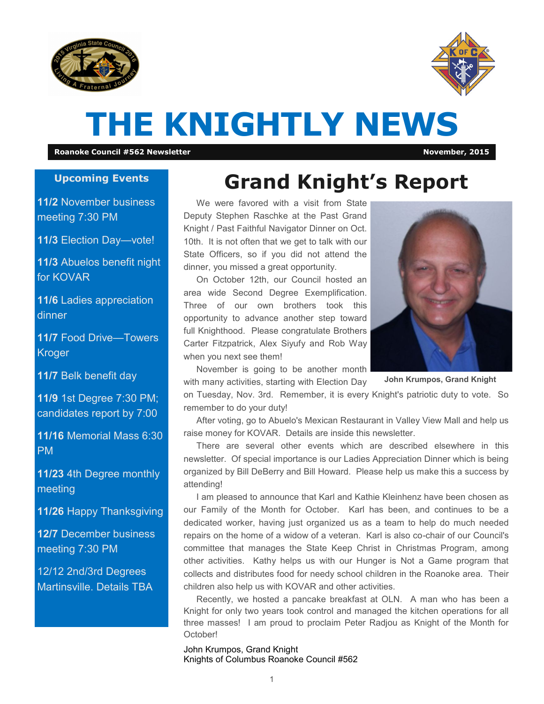



# **THE KNIGHTLY NEWS**

**Roanoke Council #562 Newsletter November, 2015**

#### **Upcoming Events**

**11/2** November business meeting 7:30 PM

**11/3** Election Day—vote!

**11/3** Abuelos benefit night for KOVAR

**11/6** Ladies appreciation dinner

**11/7** Food Drive—Towers Kroger

**11/7** Belk benefit day

**11/9** 1st Degree 7:30 PM; candidates report by 7:00

**11/16** Memorial Mass 6:30 PM

**11/23** 4th Degree monthly meeting

**11/26** Happy Thanksgiving

**12/7** December business meeting 7:30 PM

12/12 2nd/3rd Degrees Martinsville. Details TBA

## **Grand Knight's Report**

We were favored with a visit from State Deputy Stephen Raschke at the Past Grand Knight / Past Faithful Navigator Dinner on Oct. 10th. It is not often that we get to talk with our State Officers, so if you did not attend the dinner, you missed a great opportunity.

On October 12th, our Council hosted an area wide Second Degree Exemplification. Three of our own brothers took this opportunity to advance another step toward full Knighthood. Please congratulate Brothers Carter Fitzpatrick, Alex Siyufy and Rob Way when you next see them!

November is going to be another month



**John Krumpos, Grand Knight**

with many activities, starting with Election Day on Tuesday, Nov. 3rd. Remember, it is every Knight's patriotic duty to vote. So remember to do your duty!

After voting, go to Abuelo's Mexican Restaurant in Valley View Mall and help us raise money for KOVAR. Details are inside this newsletter.

There are several other events which are described elsewhere in this newsletter. Of special importance is our Ladies Appreciation Dinner which is being organized by Bill DeBerry and Bill Howard. Please help us make this a success by attending!

I am pleased to announce that Karl and Kathie Kleinhenz have been chosen as our Family of the Month for October. Karl has been, and continues to be a dedicated worker, having just organized us as a team to help do much needed repairs on the home of a widow of a veteran. Karl is also co-chair of our Council's committee that manages the State Keep Christ in Christmas Program, among other activities. Kathy helps us with our Hunger is Not a Game program that collects and distributes food for needy school children in the Roanoke area. Their children also help us with KOVAR and other activities.

Recently, we hosted a pancake breakfast at OLN. A man who has been a Knight for only two years took control and managed the kitchen operations for all three masses! I am proud to proclaim Peter Radjou as Knight of the Month for October!

John Krumpos, Grand Knight Knights of Columbus Roanoke Council #562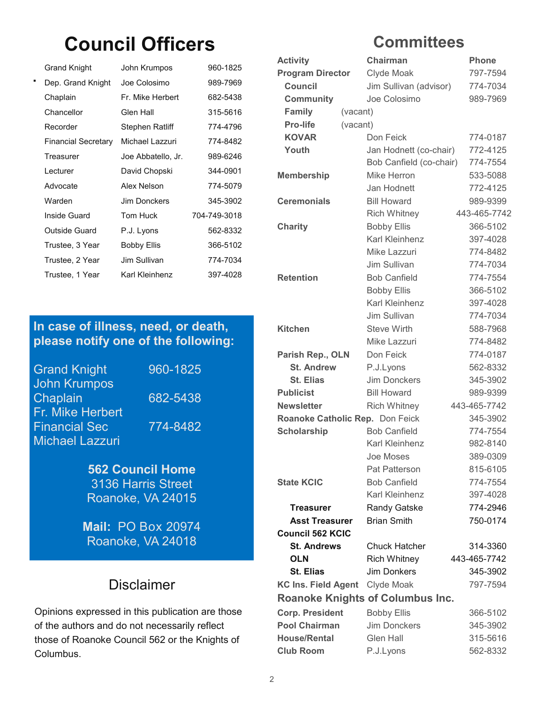## **Council Officers**

| <b>Grand Knight</b>        | John Krumpos       | 960-1825     |
|----------------------------|--------------------|--------------|
| Dep. Grand Knight          | Joe Colosimo       | 989-7969     |
| Chaplain                   | Fr. Mike Herbert   | 682-5438     |
| Chancellor                 | Glen Hall          | 315-5616     |
| Recorder                   | Stephen Ratliff    | 774-4796     |
| <b>Financial Secretary</b> | Michael Lazzuri    | 774-8482     |
| Treasurer                  | Joe Abbatello, Jr. | 989-6246     |
| Lecturer                   | David Chopski      | 344-0901     |
| Advocate                   | Alex Nelson        | 774-5079     |
| Warden                     | Jim Donckers       | 345-3902     |
| Inside Guard               | Tom Huck           | 704-749-3018 |
| <b>Outside Guard</b>       | P.J. Lyons         | 562-8332     |
| Trustee, 3 Year            | <b>Bobby Ellis</b> | 366-5102     |
| Trustee, 2 Year            | Jim Sullivan       | 774-7034     |
| Trustee, 1 Year            | Karl Kleinhenz     | 397-4028     |
|                            |                    |              |

#### **In case of illness, need, or death, please notify one of the following:**

Grand Knight 960-1825 John Krumpos Chaplain 682-5438 Fr. Mike Herbert Financial Sec 774-8482 Michael Lazzuri

**562 Council Home**  3136 Harris Street Roanoke, VA 24015

**Mail:** PO Box 20974 Roanoke, VA 24018

#### Disclaimer

Opinions expressed in this publication are those of the authors and do not necessarily reflect those of Roanoke Council 562 or the Knights of Columbus.

### **Committees**

| <b>Activity</b>                 |          | Chairman                                | <b>Phone</b> |
|---------------------------------|----------|-----------------------------------------|--------------|
| <b>Program Director</b>         |          | Clyde Moak                              | 797-7594     |
| <b>Council</b>                  |          | Jim Sullivan (advisor)                  | 774-7034     |
| <b>Community</b>                |          | Joe Colosimo                            | 989-7969     |
| <b>Family</b>                   | (vacant) |                                         |              |
| <b>Pro-life</b>                 | (vacant) |                                         |              |
| <b>KOVAR</b>                    |          | Don Feick                               | 774-0187     |
| Youth                           |          | Jan Hodnett (co-chair)                  | 772-4125     |
|                                 |          | Bob Canfield (co-chair)                 | 774-7554     |
| <b>Membership</b>               |          | Mike Herron                             | 533-5088     |
|                                 |          | Jan Hodnett                             | 772-4125     |
| <b>Ceremonials</b>              |          | <b>Bill Howard</b>                      | 989-9399     |
|                                 |          | <b>Rich Whitney</b>                     | 443-465-7742 |
| <b>Charity</b>                  |          | <b>Bobby Ellis</b>                      | 366-5102     |
|                                 |          | <b>Karl Kleinhenz</b>                   | 397-4028     |
|                                 |          | Mike Lazzuri                            | 774-8482     |
|                                 |          | Jim Sullivan                            | 774-7034     |
| <b>Retention</b>                |          | <b>Bob Canfield</b>                     | 774-7554     |
|                                 |          | <b>Bobby Ellis</b>                      | 366-5102     |
|                                 |          | Karl Kleinhenz                          | 397-4028     |
|                                 |          | Jim Sullivan                            | 774-7034     |
| <b>Kitchen</b>                  |          | <b>Steve Wirth</b>                      | 588-7968     |
|                                 |          | Mike Lazzuri                            | 774-8482     |
| Parish Rep., OLN                |          | Don Feick                               | 774-0187     |
| <b>St. Andrew</b>               |          | P.J.Lyons                               | 562-8332     |
| <b>St. Elias</b>                |          | <b>Jim Donckers</b>                     | 345-3902     |
| <b>Publicist</b>                |          | <b>Bill Howard</b>                      | 989-9399     |
| <b>Newsletter</b>               |          | <b>Rich Whitney</b>                     | 443-465-7742 |
| Roanoke Catholic Rep. Don Feick |          |                                         | 345-3902     |
| <b>Scholarship</b>              |          | <b>Bob Canfield</b>                     | 774-7554     |
|                                 |          | Karl Kleinhenz                          | 982-8140     |
|                                 |          | Joe Moses                               | 389-0309     |
|                                 |          | Pat Patterson                           | 815-6105     |
| <b>State KCIC</b>               |          | <b>Bob Canfield</b>                     | 774-7554     |
|                                 |          | Karl Kleinhenz                          | 397-4028     |
| Treasurer                       |          | Randy Gatske                            | 774-2946     |
| <b>Asst Treasurer</b>           |          | <b>Brian Smith</b>                      | 750-0174     |
| <b>Council 562 KCIC</b>         |          |                                         |              |
| <b>St. Andrews</b>              |          | <b>Chuck Hatcher</b>                    | 314-3360     |
| <b>OLN</b>                      |          | <b>Rich Whitney</b>                     | 443-465-7742 |
| <b>St. Elias</b>                |          | <b>Jim Donkers</b>                      | 345-3902     |
| <b>KC Ins. Field Agent</b>      |          | Clyde Moak                              | 797-7594     |
|                                 |          | <b>Roanoke Knights of Columbus Inc.</b> |              |
| <b>Corp. President</b>          |          | <b>Bobby Ellis</b>                      | 366-5102     |
| <b>Pool Chairman</b>            |          | <b>Jim Donckers</b>                     | 345-3902     |
| <b>House/Rental</b>             |          | Glen Hall                               | 315-5616     |
| <b>Club Room</b>                |          | P.J.Lyons                               | 562-8332     |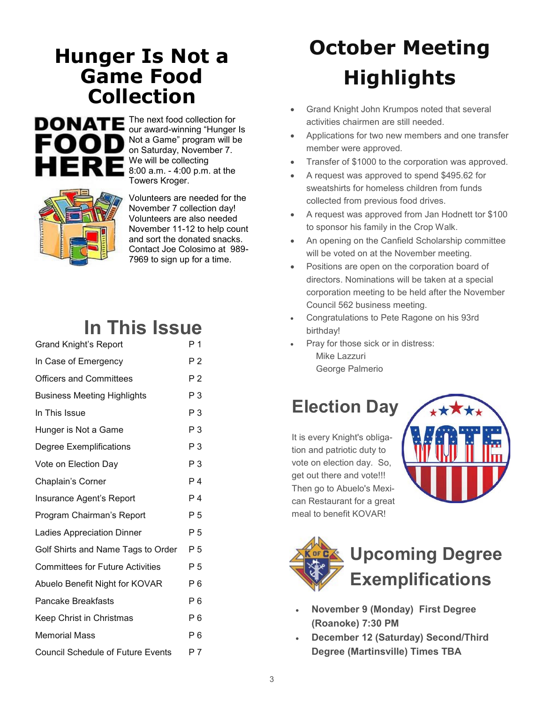## **Hunger Is Not a Game Food Collection**



The next food collection for our award-winning "Hunger Is Not a Game" program will be on Saturday, November 7. We will be collecting 8:00 a.m. - 4:00 p.m. at the Towers Kroger.



Volunteers are needed for the November 7 collection day! Volunteers are also needed November 11-12 to help count and sort the donated snacks. Contact Joe Colosimo at 989- 7969 to sign up for a time.

### **In This Issue**

| <b>Grand Knight's Report</b>             | Р1             |
|------------------------------------------|----------------|
| In Case of Emergency                     | P <sub>2</sub> |
| <b>Officers and Committees</b>           | P 2            |
| <b>Business Meeting Highlights</b>       | P 3            |
| In This Issue                            | P <sub>3</sub> |
| Hunger is Not a Game                     | P <sub>3</sub> |
| Degree Exemplifications                  | $P_3$          |
| Vote on Election Day                     | P <sub>3</sub> |
| Chaplain's Corner                        | P <sub>4</sub> |
| Insurance Agent's Report                 | P 4            |
| Program Chairman's Report                | P <sub>5</sub> |
| <b>Ladies Appreciation Dinner</b>        | P <sub>5</sub> |
| Golf Shirts and Name Tags to Order       | P 5            |
| <b>Committees for Future Activities</b>  | P 5            |
| Abuelo Benefit Night for KOVAR           | P 6            |
| <b>Pancake Breakfasts</b>                | P 6            |
| Keep Christ in Christmas                 | P 6            |
| <b>Memorial Mass</b>                     | P 6            |
| <b>Council Schedule of Future Events</b> | P 7            |

# **October Meeting Highlights**

- Grand Knight John Krumpos noted that several activities chairmen are still needed.
- Applications for two new members and one transfer member were approved.
- Transfer of \$1000 to the corporation was approved.
- A request was approved to spend \$495.62 for sweatshirts for homeless children from funds collected from previous food drives.
- A request was approved from Jan Hodnett tor \$100 to sponsor his family in the Crop Walk.
- An opening on the Canfield Scholarship committee will be voted on at the November meeting.
- Positions are open on the corporation board of directors. Nominations will be taken at a special corporation meeting to be held after the November Council 562 business meeting.
- Congratulations to Pete Ragone on his 93rd birthday!
- Pray for those sick or in distress:
	- Mike Lazzuri George Palmerio

## **Election Day**

It is every Knight's obligation and patriotic duty to vote on election day. So, get out there and vote!!! Then go to Abuelo's Mexican Restaurant for a great meal to benefit KOVAR!





- **November 9 (Monday) First Degree (Roanoke) 7:30 PM**
- **December 12 (Saturday) Second/Third Degree (Martinsville) Times TBA**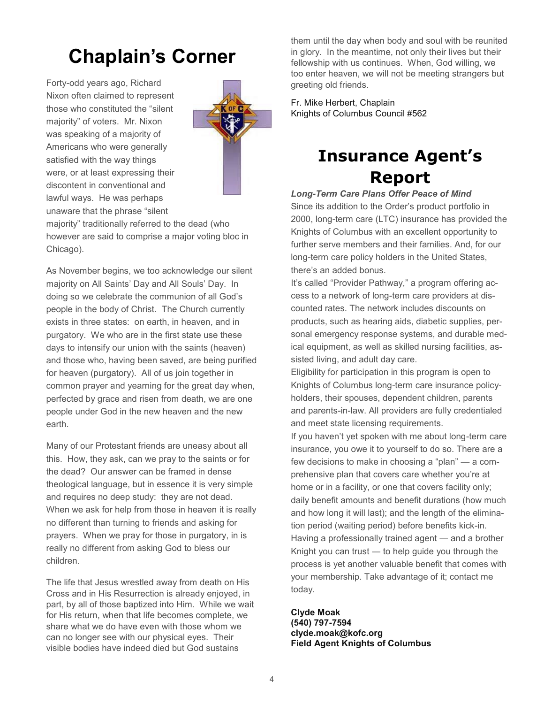## **Chaplain's Corner**

Forty-odd years ago, Richard Nixon often claimed to represent those who constituted the "silent majority" of voters. Mr. Nixon was speaking of a majority of Americans who were generally satisfied with the way things were, or at least expressing their discontent in conventional and lawful ways. He was perhaps unaware that the phrase "silent



majority" traditionally referred to the dead (who however are said to comprise a major voting bloc in Chicago).

As November begins, we too acknowledge our silent majority on All Saints' Day and All Souls' Day. In doing so we celebrate the communion of all God's people in the body of Christ. The Church currently exists in three states: on earth, in heaven, and in purgatory. We who are in the first state use these days to intensify our union with the saints (heaven) and those who, having been saved, are being purified for heaven (purgatory). All of us join together in common prayer and yearning for the great day when, perfected by grace and risen from death, we are one people under God in the new heaven and the new earth.

Many of our Protestant friends are uneasy about all this. How, they ask, can we pray to the saints or for the dead? Our answer can be framed in dense theological language, but in essence it is very simple and requires no deep study: they are not dead. When we ask for help from those in heaven it is really no different than turning to friends and asking for prayers. When we pray for those in purgatory, in is really no different from asking God to bless our children.

The life that Jesus wrestled away from death on His Cross and in His Resurrection is already enjoyed, in part, by all of those baptized into Him. While we wait for His return, when that life becomes complete, we share what we do have even with those whom we can no longer see with our physical eyes. Their visible bodies have indeed died but God sustains

them until the day when body and soul with be reunited in glory. In the meantime, not only their lives but their fellowship with us continues. When, God willing, we too enter heaven, we will not be meeting strangers but greeting old friends.

Fr. Mike Herbert, Chaplain Knights of Columbus Council #562

### **Insurance Agent's Report**

*Long-Term Care Plans Offer Peace of Mind*  Since its addition to the Order's product portfolio in 2000, long-term care (LTC) insurance has provided the Knights of Columbus with an excellent opportunity to further serve members and their families. And, for our long-term care policy holders in the United States, there's an added bonus.

It's called "Provider Pathway," a program offering access to a network of long-term care providers at discounted rates. The network includes discounts on products, such as hearing aids, diabetic supplies, personal emergency response systems, and durable medical equipment, as well as skilled nursing facilities, assisted living, and adult day care.

Eligibility for participation in this program is open to Knights of Columbus long-term care insurance policyholders, their spouses, dependent children, parents and parents-in-law. All providers are fully credentialed and meet state licensing requirements.

If you haven't yet spoken with me about long-term care insurance, you owe it to yourself to do so. There are a few decisions to make in choosing a "plan" — a comprehensive plan that covers care whether you're at home or in a facility, or one that covers facility only; daily benefit amounts and benefit durations (how much and how long it will last); and the length of the elimination period (waiting period) before benefits kick-in. Having a professionally trained agent ― and a brother Knight you can trust ― to help guide you through the process is yet another valuable benefit that comes with your membership. Take advantage of it; contact me today.

#### **Clyde Moak**

**(540) 797-7594 clyde.moak@kofc.org Field Agent Knights of Columbus**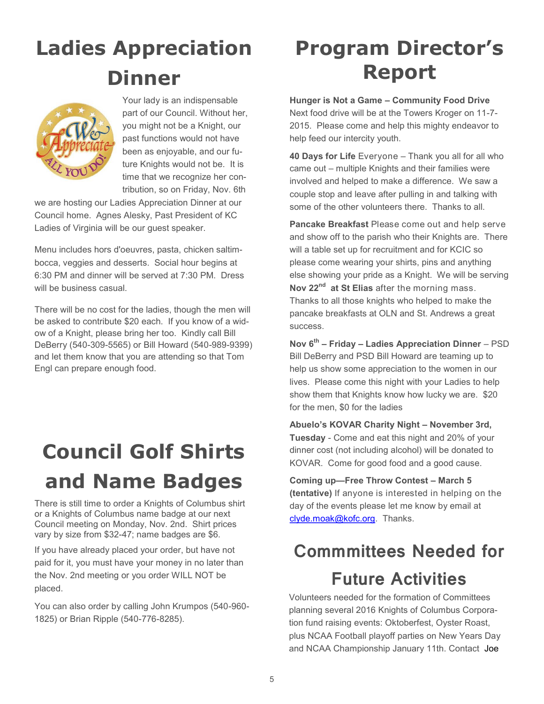# **Ladies Appreciation Dinner**



Your lady is an indispensable part of our Council. Without her, you might not be a Knight, our past functions would not have been as enjoyable, and our future Knights would not be. It is time that we recognize her contribution, so on Friday, Nov. 6th

we are hosting our Ladies Appreciation Dinner at our Council home. Agnes Alesky, Past President of KC Ladies of Virginia will be our guest speaker.

Menu includes hors d'oeuvres, pasta, chicken saltimbocca, veggies and desserts. Social hour begins at 6:30 PM and dinner will be served at 7:30 PM. Dress will be business casual.

There will be no cost for the ladies, though the men will be asked to contribute \$20 each. If you know of a widow of a Knight, please bring her too. Kindly call Bill DeBerry (540-309-5565) or Bill Howard (540-989-9399) and let them know that you are attending so that Tom Engl can prepare enough food.

# **Council Golf Shirts and Name Badges**

There is still time to order a Knights of Columbus shirt or a Knights of Columbus name badge at our next Council meeting on Monday, Nov. 2nd. Shirt prices vary by size from \$32-47; name badges are \$6.

If you have already placed your order, but have not paid for it, you must have your money in no later than the Nov. 2nd meeting or you order WILL NOT be placed.

You can also order by calling John Krumpos (540-960- 1825) or Brian Ripple (540-776-8285).

# **Program Director's Report**

**Hunger is Not a Game – Community Food Drive** 

Next food drive will be at the Towers Kroger on 11-7- 2015. Please come and help this mighty endeavor to help feed our intercity youth.

**40 Days for Life** Everyone – Thank you all for all who came out – multiple Knights and their families were involved and helped to make a difference. We saw a couple stop and leave after pulling in and talking with some of the other volunteers there. Thanks to all.

**Pancake Breakfast** Please come out and help serve and show off to the parish who their Knights are. There will a table set up for recruitment and for KCIC so please come wearing your shirts, pins and anything else showing your pride as a Knight. We will be serving **Nov 22nd at St Elias** after the morning mass. Thanks to all those knights who helped to make the pancake breakfasts at OLN and St. Andrews a great success.

**Nov 6th – Friday – Ladies Appreciation Dinner** – PSD Bill DeBerry and PSD Bill Howard are teaming up to help us show some appreciation to the women in our lives. Please come this night with your Ladies to help show them that Knights know how lucky we are. \$20 for the men, \$0 for the ladies

**Abuelo's KOVAR Charity Night – November 3rd, Tuesday** - Come and eat this night and 20% of your dinner cost (not including alcohol) will be donated to KOVAR. Come for good food and a good cause.

**Coming up—Free Throw Contest – March 5 (tentative)** If anyone is interested in helping on the day of the events please let me know by email at [clyde.moak@kofc.org.](mailto:clyde.moak@kofc.org) Thanks.

## **Commmittees Needed for Future Activities**

Volunteers needed for the formation of Committees planning several 2016 Knights of Columbus Corporation fund raising events: Oktoberfest, Oyster Roast, plus NCAA Football playoff parties on New Years Day and NCAA Championship January 11th. Contact Joe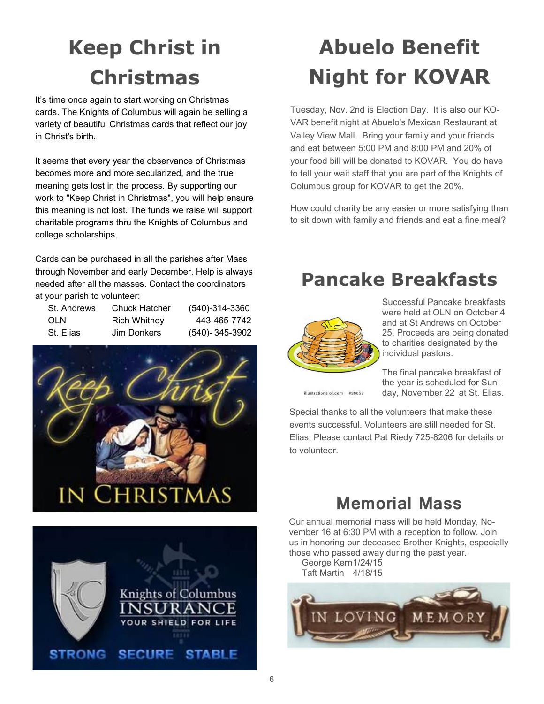# **Keep Christ in Christmas**

It's time once again to start working on Christmas cards. The Knights of Columbus will again be selling a variety of beautiful Christmas cards that reflect our joy in Christ's birth.

It seems that every year the observance of Christmas becomes more and more secularized, and the true meaning gets lost in the process. By supporting our work to "Keep Christ in Christmas", you will help ensure this meaning is not lost. The funds we raise will support charitable programs thru the Knights of Columbus and college scholarships.

Cards can be purchased in all the parishes after Mass through November and early December. Help is always needed after all the masses. Contact the coordinators at your parish to volunteer:

| St. Andrews | <b>Chuck Hatcher</b> | (540)-314-3360       |
|-------------|----------------------|----------------------|
| OLN         | Rich Whitney         | 443-465-7742         |
| St. Elias   | Jim Donkers          | $(540) - 345 - 3902$ |





# **Abuelo Benefit Night for KOVAR**

Tuesday, Nov. 2nd is Election Day. It is also our KO-VAR benefit night at Abuelo's Mexican Restaurant at Valley View Mall. Bring your family and your friends and eat between 5:00 PM and 8:00 PM and 20% of your food bill will be donated to KOVAR. You do have to tell your wait staff that you are part of the Knights of Columbus group for KOVAR to get the 20%.

How could charity be any easier or more satisfying than to sit down with family and friends and eat a fine meal?

### **Pancake Breakfasts**



Successful Pancake breakfasts were held at OLN on October 4 and at St Andrews on October 25. Proceeds are being donated to charities designated by the individual pastors.

The final pancake breakfast of the year is scheduled for Sunday, November 22 at St. Elias.

illustrations of.com #39059

Special thanks to all the volunteers that make these events successful. Volunteers are still needed for St. Elias; Please contact Pat Riedy 725-8206 for details or to volunteer.

### **Memorial Mass**

Our annual memorial mass will be held Monday, November 16 at 6:30 PM with a reception to follow. Join us in honoring our deceased Brother Knights, especially those who passed away during the past year.

George Kern1/24/15 Taft Martin 4/18/15